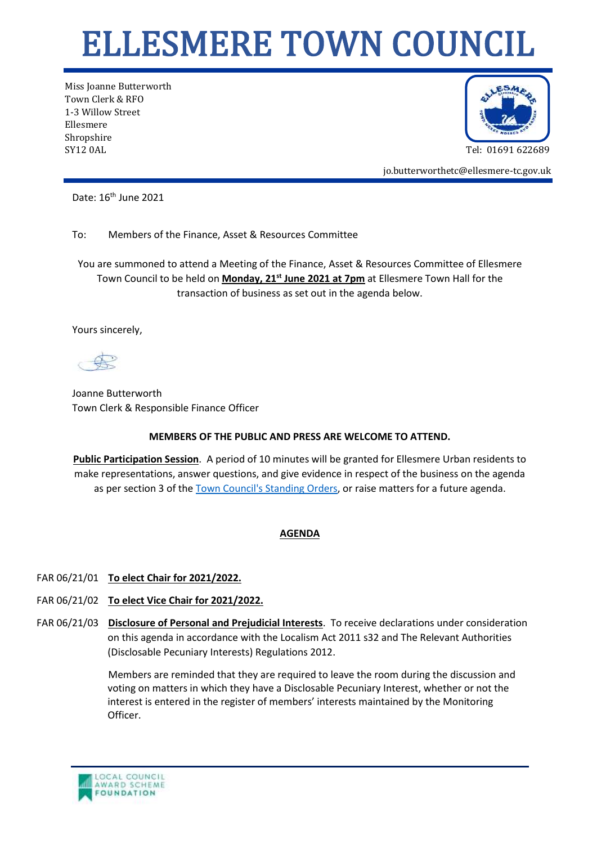## ELLESMERE TOWN COUNCIL

Miss Joanne Butterworth Town Clerk & RFO 1-3 Willow Street Ellesmere Shropshire SY12 0AL Tel: 01691 622689



jo.butterworthetc@ellesmere-tc.gov.uk

Date: 16<sup>th</sup> June 2021

To: Members of the Finance, Asset & Resources Committee

You are summoned to attend a Meeting of the Finance, Asset & Resources Committee of Ellesmere Town Council to be held on **Monday, 21st June 2021 at 7pm** at Ellesmere Town Hall for the transaction of business as set out in the agenda below.

Yours sincerely,

Joanne Butterworth Town Clerk & Responsible Finance Officer

## **MEMBERS OF THE PUBLIC AND PRESS ARE WELCOME TO ATTEND.**

**Public Participation Session**. A period of 10 minutes will be granted for Ellesmere Urban residents to make representations, answer questions, and give evidence in respect of the business on the agenda as per section 3 of the [Town Council's Standing Orders,](https://ellesmere-tc.gov.uk/wp-content/uploads/2020/11/Standing-Orders-2020-England.pdf) or raise matters for a future agenda.

## **AGENDA**

## FAR 06/21/01 **To elect Chair for 2021/2022.**

- FAR 06/21/02 **To elect Vice Chair for 2021/2022.**
- FAR 06/21/03 **Disclosure of Personal and Prejudicial Interests**. To receive declarations under consideration on this agenda in accordance with the Localism Act 2011 s32 and The Relevant Authorities (Disclosable Pecuniary Interests) Regulations 2012.

Members are reminded that they are required to leave the room during the discussion and voting on matters in which they have a Disclosable Pecuniary Interest, whether or not the interest is entered in the register of members' interests maintained by the Monitoring Officer.